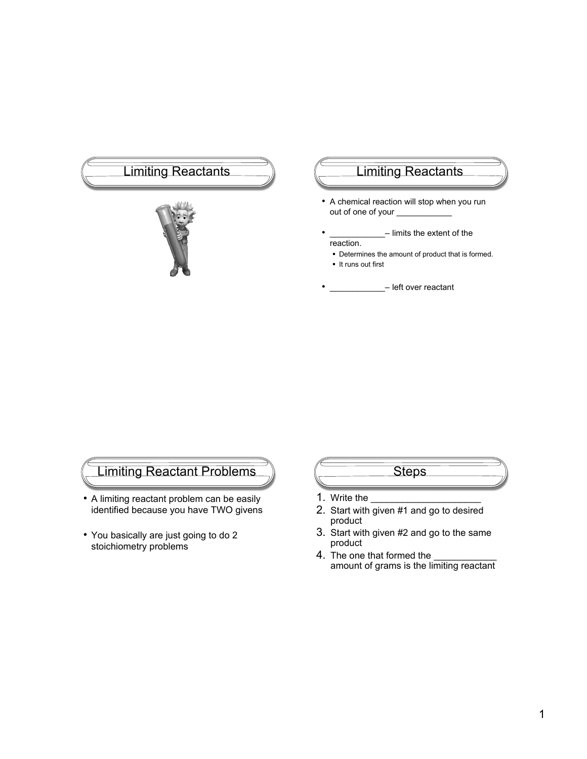# Limiting Reactants (Call Limiting Reactants



- A chemical reaction will stop when you run out of one of your \_
	- limits the extent of the reaction.
	- Determines the amount of product that is formed.
	- It runs out first
- eft over reactant

# Limiting Reactant Problems

- A limiting reactant problem can be easily identified because you have TWO givens
- You basically are just going to do 2 stoichiometry problems

# **Steps**

- 1. Write the
- 2. Start with given #1 and go to desired product
- 3. Start with given #2 and go to the same product
- 4. The one that formed the amount of grams is the limiting reactant